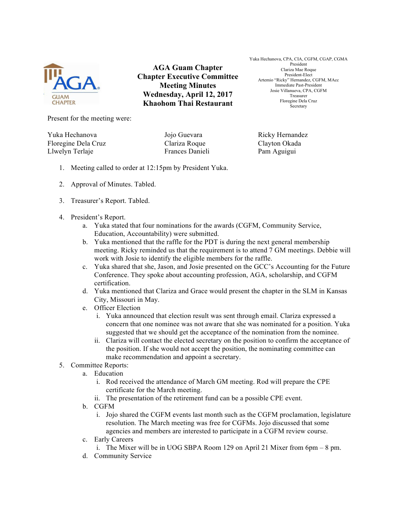

**AGA Guam Chapter Chapter Executive Committee Meeting Minutes Wednesday, April 12, 2017 Khaohom Thai Restaurant**

Yuka Hechanova, CPA, CIA, CGFM, CGAP, CGMA President Clariza Mae Roque President-Elect Artemio "Ricky" Hernandez, CGFM, MAcc Immediate Past-President Josie Villanueva, CPA, CGFM Treasurer Floregine Dela Cruz Secretary

Present for the meeting were:

Yuka Hechanova Jojo Guevara Ricky Hernandez Floregine Dela Cruz Clariza Roque Clayton Okada Llwelyn Terlaje Frances Danieli Pam Aguigui

- 1. Meeting called to order at 12:15pm by President Yuka.
- 2. Approval of Minutes. Tabled.
- 3. Treasurer's Report. Tabled.
- 4. President's Report.
	- a. Yuka stated that four nominations for the awards (CGFM, Community Service, Education, Accountability) were submitted.
	- b. Yuka mentioned that the raffle for the PDT is during the next general membership meeting. Ricky reminded us that the requirement is to attend 7 GM meetings. Debbie will work with Josie to identify the eligible members for the raffle.
	- c. Yuka shared that she, Jason, and Josie presented on the GCC's Accounting for the Future Conference. They spoke about accounting profession, AGA, scholarship, and CGFM certification.
	- d. Yuka mentioned that Clariza and Grace would present the chapter in the SLM in Kansas City, Missouri in May.
	- e. Officer Election
		- i. Yuka announced that election result was sent through email. Clariza expressed a concern that one nominee was not aware that she was nominated for a position. Yuka suggested that we should get the acceptance of the nomination from the nominee.
		- ii. Clariza will contact the elected secretary on the position to confirm the acceptance of the position. If she would not accept the position, the nominating committee can make recommendation and appoint a secretary.
- 5. Committee Reports:
	- a. Education
		- i. Rod received the attendance of March GM meeting. Rod will prepare the CPE certificate for the March meeting.
		- ii. The presentation of the retirement fund can be a possible CPE event.
	- b. CGFM
		- i. Jojo shared the CGFM events last month such as the CGFM proclamation, legislature resolution. The March meeting was free for CGFMs. Jojo discussed that some agencies and members are interested to participate in a CGFM review course.
	- c. Early Careers
		- i. The Mixer will be in UOG SBPA Room 129 on April 21 Mixer from 6pm 8 pm.
	- d. Community Service